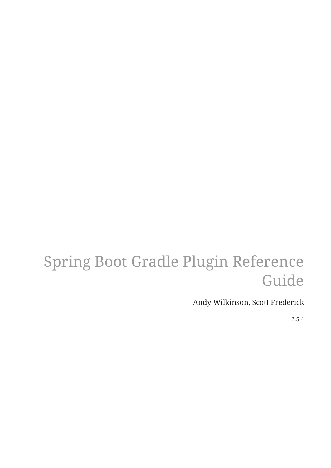# Spring Boot Gradle Plugin Reference Guide

Andy Wilkinson, Scott Frederick

2.5.4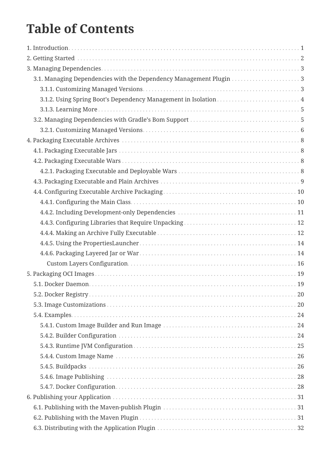# **Table of Contents**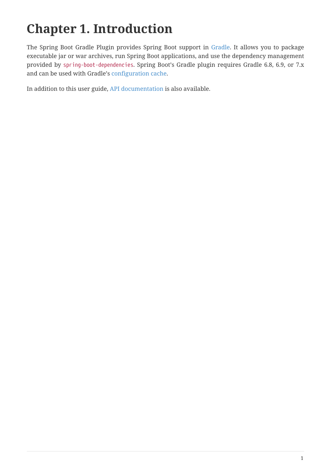# <span id="page-3-0"></span>**Chapter 1. Introduction**

The Spring Boot Gradle Plugin provides Spring Boot support in [Gradle](https://gradle.org). It allows you to package executable jar or war archives, run Spring Boot applications, and use the dependency management provided by spring-boot-dependencies. Spring Boot's Gradle plugin requires Gradle 6.8, 6.9, or 7.x and can be used with Gradle's [configuration cache.](https://docs.gradle.org/current/userguide/configuration_cache.html)

In addition to this user guide, [API documentation](https://docs.spring.io/spring-boot/docs/2.5.4/gradle-plugin/api) is also available.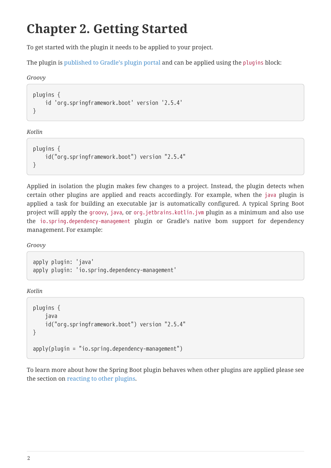# <span id="page-4-0"></span>**Chapter 2. Getting Started**

To get started with the plugin it needs to be applied to your project.

The plugin is [published to Gradle's plugin portal](https://plugins.gradle.org/plugin/org.springframework.boot) and can be applied using the plugins block:

#### *Groovy*

```
plugins {
      id 'org.springframework.boot' version '2.5.4'
}
```
*Kotlin*

```
plugins {
      id("org.springframework.boot") version "2.5.4"
}
```
Applied in isolation the plugin makes few changes to a project. Instead, the plugin detects when certain other plugins are applied and reacts accordingly. For example, when the java plugin is applied a task for building an executable jar is automatically configured. A typical Spring Boot project will apply the [groovy](https://docs.gradle.org/current/userguide/groovy_plugin.html), [java](https://docs.gradle.org/current/userguide/java_plugin.html), or [org.jetbrains.kotlin.jvm](https://kotlinlang.org/docs/reference/using-gradle.html) plugin as a minimum and also use the [io.spring.dependency-management](https://github.com/spring-gradle-plugins/dependency-management-plugin) plugin or Gradle's native bom support for dependency management. For example:

*Groovy*

apply plugin: 'java' apply plugin: 'io.spring.dependency-management'

*Kotlin*

```
plugins {
     java
     id("org.springframework.boot") version "2.5.4"
}
apply(plugin = "io.springframework")
```
To learn more about how the Spring Boot plugin behaves when other plugins are applied please see the section on [reacting to other plugins](#page-41-0).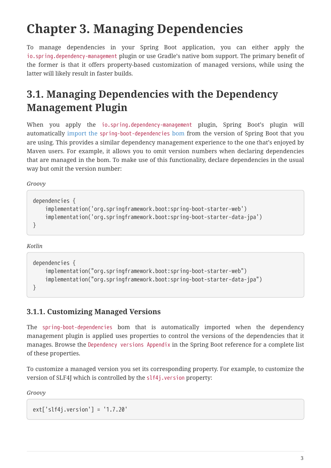# <span id="page-5-0"></span>**Chapter 3. Managing Dependencies**

To manage dependencies in your Spring Boot application, you can either apply the [io.spring.dependency-management](https://github.com/spring-gradle-plugins/dependency-management-plugin) plugin or use Gradle's native bom support. The primary benefit of the former is that it offers property-based customization of managed versions, while using the latter will likely result in faster builds.

## <span id="page-5-1"></span>**3.1. Managing Dependencies with the Dependency Management Plugin**

When you apply the [io.spring.dependency-management](https://github.com/spring-gradle-plugins/dependency-management-plugin) plugin, Spring Boot's plugin will automatically [import the](#page-42-0) [spring-boot-dependencies](#page-42-0) [bom](#page-42-0) from the version of Spring Boot that you are using. This provides a similar dependency management experience to the one that's enjoyed by Maven users. For example, it allows you to omit version numbers when declaring dependencies that are managed in the bom. To make use of this functionality, declare dependencies in the usual way but omit the version number:

*Groovy*

```
dependencies {
      implementation('org.springframework.boot:spring-boot-starter-web')
      implementation('org.springframework.boot:spring-boot-starter-data-jpa')
}
```
#### *Kotlin*

```
dependencies {
      implementation("org.springframework.boot:spring-boot-starter-web")
      implementation("org.springframework.boot:spring-boot-starter-data-jpa")
}
```
#### <span id="page-5-2"></span>**3.1.1. Customizing Managed Versions**

The spring-boot-dependencies bom that is automatically imported when the dependency management plugin is applied uses properties to control the versions of the dependencies that it manages. Browse the [Dependency versions Appendix](https://docs.spring.io/spring-boot/docs/2.5.4/reference/htmlsingle/#dependency-versions-properties) in the Spring Boot reference for a complete list of these properties.

To customize a managed version you set its corresponding property. For example, to customize the version of SLF4J which is controlled by the slf4j.version property:

*Groovy*

```
ext['slf4j.version'] = '1.7.20'
```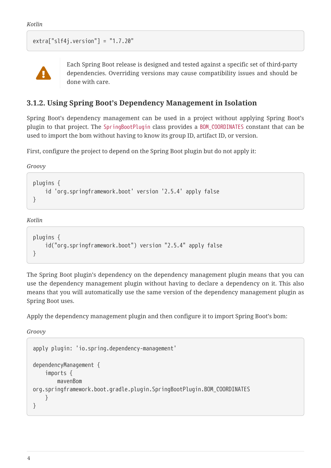```
extra['slf4j.version"] = "1.7.20"
```


Each Spring Boot release is designed and tested against a specific set of third-party dependencies. Overriding versions may cause compatibility issues and should be done with care.

#### <span id="page-6-0"></span>**3.1.2. Using Spring Boot's Dependency Management in Isolation**

Spring Boot's dependency management can be used in a project without applying Spring Boot's plugin to that project. The SpringBootPlugin class provides a BOM\_COORDINATES constant that can be used to import the bom without having to know its group ID, artifact ID, or version.

First, configure the project to depend on the Spring Boot plugin but do not apply it:

*Groovy*

```
plugins {
      id 'org.springframework.boot' version '2.5.4' apply false
}
```
*Kotlin*

```
plugins {
      id("org.springframework.boot") version "2.5.4" apply false
}
```
The Spring Boot plugin's dependency on the dependency management plugin means that you can use the dependency management plugin without having to declare a dependency on it. This also means that you will automatically use the same version of the dependency management plugin as Spring Boot uses.

Apply the dependency management plugin and then configure it to import Spring Boot's bom:

*Groovy*

```
apply plugin: 'io.spring.dependency-management'
dependencyManagement {
      imports {
          mavenBom
org.springframework.boot.gradle.plugin.SpringBootPlugin.BOM_COORDINATES
      }
}
```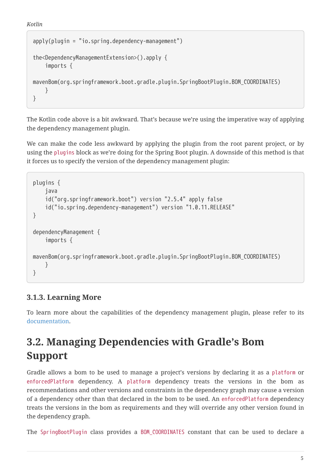```
apply(plugin = "io.spring.dependency-management")
the<DependencyManagementExtension>().apply {
      imports {
mavenBom(org.springframework.boot.gradle.plugin.SpringBootPlugin.BOM_COORDINATES)
      }
}
```
The Kotlin code above is a bit awkward. That's because we're using the imperative way of applying the dependency management plugin.

We can make the code less awkward by applying the plugin from the root parent project, or by using the plugins block as we're doing for the Spring Boot plugin. A downside of this method is that it forces us to specify the version of the dependency management plugin:

```
plugins {
      java
      id("org.springframework.boot") version "2.5.4" apply false
      id("io.spring.dependency-management") version "1.0.11.RELEASE"
}
dependencyManagement {
      imports {
mavenBom(org.springframework.boot.gradle.plugin.SpringBootPlugin.BOM_COORDINATES)
      }
}
```
### <span id="page-7-0"></span>**3.1.3. Learning More**

To learn more about the capabilities of the dependency management plugin, please refer to its [documentation](https://docs.spring.io/dependency-management-plugin/docs/current/reference/html/).

## <span id="page-7-1"></span>**3.2. Managing Dependencies with Gradle's Bom Support**

Gradle allows a bom to be used to manage a project's versions by declaring it as a platform or enforcedPlatform dependency. A platform dependency treats the versions in the bom as recommendations and other versions and constraints in the dependency graph may cause a version of a dependency other than that declared in the bom to be used. An enforcedPlatform dependency treats the versions in the bom as requirements and they will override any other version found in the dependency graph.

The SpringBootPlugin class provides a BOM\_COORDINATES constant that can be used to declare a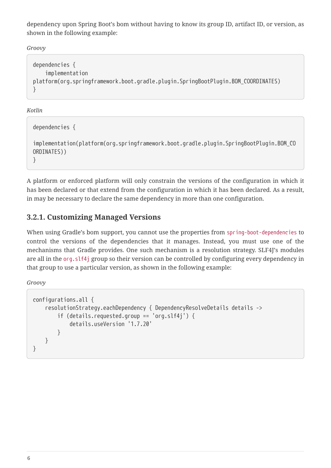dependency upon Spring Boot's bom without having to know its group ID, artifact ID, or version, as shown in the following example:

*Groovy*

```
dependencies {
      implementation
platform(org.springframework.boot.gradle.plugin.SpringBootPlugin.BOM_COORDINATES)
}
```
*Kotlin*

```
dependencies {
implementation(platform(org.springframework.boot.gradle.plugin.SpringBootPlugin.BOM_CO
ORDINATES))
}
```
A platform or enforced platform will only constrain the versions of the configuration in which it has been declared or that extend from the configuration in which it has been declared. As a result, in may be necessary to declare the same dependency in more than one configuration.

### <span id="page-8-0"></span>**3.2.1. Customizing Managed Versions**

When using Gradle's bom support, you cannot use the properties from spring-boot-dependencies to control the versions of the dependencies that it manages. Instead, you must use one of the mechanisms that Gradle provides. One such mechanism is a resolution strategy. SLF4J's modules are all in the org.slf4j group so their version can be controlled by configuring every dependency in that group to use a particular version, as shown in the following example:

*Groovy*

```
configurations.all {
      resolutionStrategy.eachDependency { DependencyResolveDetails details ->
          if (details.requested.group == 'org.slf4j') {
               details.useVersion '1.7.20'
          }
      }
}
```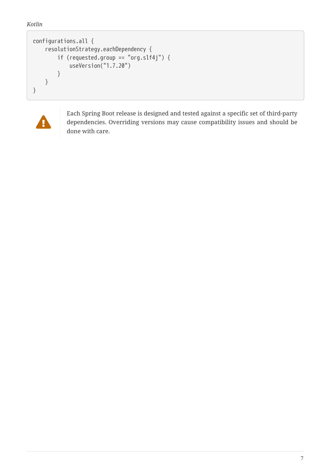```
configurations.all {
      resolutionStrategy.eachDependency {
          if (requested.group == "org.slf4j") {
               useVersion("1.7.20")
          }
      }
}
```


Each Spring Boot release is designed and tested against a specific set of third-party dependencies. Overriding versions may cause compatibility issues and should be done with care.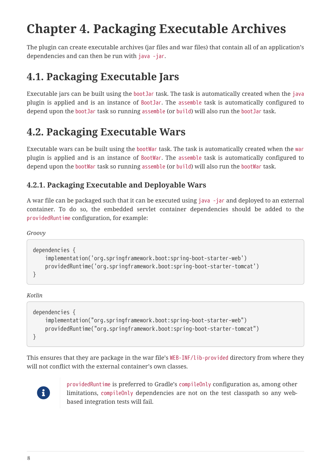# <span id="page-10-0"></span>**Chapter 4. Packaging Executable Archives**

The plugin can create executable archives (jar files and war files) that contain all of an application's dependencies and can then be run with java -jar.

## <span id="page-10-1"></span>**4.1. Packaging Executable Jars**

Executable jars can be built using the bootJar task. The task is automatically created when the java plugin is applied and is an instance of [BootJar](https://docs.spring.io/spring-boot/docs/2.5.4/gradle-plugin/api/org/springframework/boot/gradle/tasks/bundling/BootJar.html). The assemble task is automatically configured to depend upon the bootJar task so running assemble (or build) will also run the bootJar task.

## <span id="page-10-2"></span>**4.2. Packaging Executable Wars**

Executable wars can be built using the bootWar task. The task is automatically created when the war plugin is applied and is an instance of [BootWar](https://docs.spring.io/spring-boot/docs/2.5.4/gradle-plugin/api/org/springframework/boot/gradle/tasks/bundling/BootWar.html). The assemble task is automatically configured to depend upon the bootWar task so running assemble (or build) will also run the bootWar task.

### <span id="page-10-3"></span>**4.2.1. Packaging Executable and Deployable Wars**

A war file can be packaged such that it can be executed using java -jar and deployed to an external container. To do so, the embedded servlet container dependencies should be added to the providedRuntime configuration, for example:

*Groovy*

```
dependencies {
      implementation('org.springframework.boot:spring-boot-starter-web')
      providedRuntime('org.springframework.boot:spring-boot-starter-tomcat')
}
```
*Kotlin*

```
dependencies {
      implementation("org.springframework.boot:spring-boot-starter-web")
      providedRuntime("org.springframework.boot:spring-boot-starter-tomcat")
}
```
This ensures that they are package in the war file's WEB-INF/lib-provided directory from where they will not conflict with the external container's own classes.



providedRuntime is preferred to Gradle's compileOnly configuration as, among other limitations, compileOnly dependencies are not on the test classpath so any webbased integration tests will fail.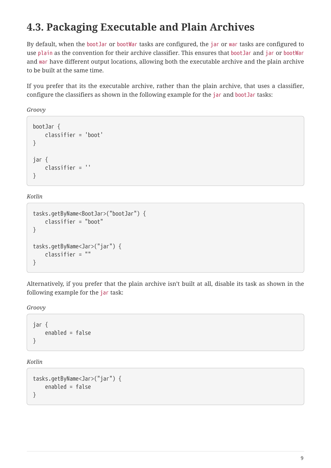## <span id="page-11-0"></span>**4.3. Packaging Executable and Plain Archives**

By default, when the bootJar or bootWar tasks are configured, the jar or war tasks are configured to use plain as the convention for their archive classifier. This ensures that bootJar and jar or bootWar and war have different output locations, allowing both the executable archive and the plain archive to be built at the same time.

If you prefer that its the executable archive, rather than the plain archive, that uses a classifier, configure the classifiers as shown in the following example for the jar and bootJar tasks:

*Groovy*

```
bootJar {
      classifier = 'boot'
}
jar {
      classifier = ''
}
```
*Kotlin*

```
tasks.getByName<BootJar>("bootJar") {
      classifier = "boot"
}
tasks.getByName<Jar>("jar") {
      classifier = ""
}
```
Alternatively, if you prefer that the plain archive isn't built at all, disable its task as shown in the following example for the jar task:

*Groovy*

jar { enabled = false }

*Kotlin*

```
tasks.getByName<Jar>("jar") {
      enabled = false
}
```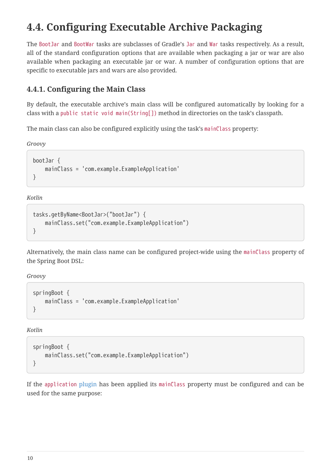## <span id="page-12-0"></span>**4.4. Configuring Executable Archive Packaging**

The [BootJar](https://docs.spring.io/spring-boot/docs/2.5.4/gradle-plugin/api/org/springframework/boot/gradle/tasks/bundling/BootJar.html) and [BootWar](https://docs.spring.io/spring-boot/docs/2.5.4/gradle-plugin/api/org/springframework/boot/gradle/tasks/bundling/BootWar.html) tasks are subclasses of Gradle's Jar and War tasks respectively. As a result, all of the standard configuration options that are available when packaging a jar or war are also available when packaging an executable jar or war. A number of configuration options that are specific to executable jars and wars are also provided.

### <span id="page-12-1"></span>**4.4.1. Configuring the Main Class**

By default, the executable archive's main class will be configured automatically by looking for a class with a public static void main(String[]) method in directories on the task's classpath.

The main class can also be configured explicitly using the task's mainClass property:

*Groovy*

```
bootJar {
     mainClass = 'com.example.ExampleApplication'
}
```
*Kotlin*

```
tasks.getByName<BootJar>("bootJar") {
     mainClass.set("com.example.ExampleApplication")
}
```
Alternatively, the main class name can be configured project-wide using the mainClass property of the Spring Boot DSL:

*Groovy*

```
springBoot {
      mainClass = 'com.example.ExampleApplication'
}
```
*Kotlin*

```
springBoot {
     mainClass.set("com.example.ExampleApplication")
}
```
If the [application](https://docs.gradle.org/current/userguide/application_plugin.html) [plugin](https://docs.gradle.org/current/userguide/application_plugin.html) has been applied its mainClass property must be configured and can be used for the same purpose: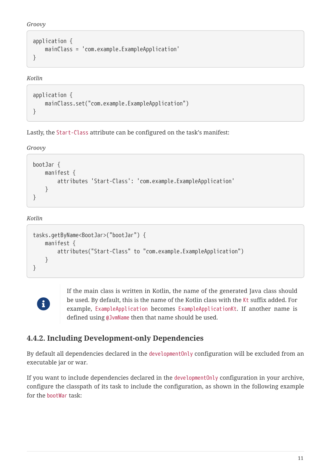*Groovy*

```
application {
     mainClass = 'com.example.ExampleApplication'
}
```
*Kotlin*

```
application {
      mainClass.set("com.example.ExampleApplication")
}
```
Lastly, the Start-Class attribute can be configured on the task's manifest:

*Groovy*

```
bootJar {
      manifest {
          attributes 'Start-Class': 'com.example.ExampleApplication'
      }
}
```
*Kotlin*

```
tasks.getByName<BootJar>("bootJar") {
      manifest {
          attributes("Start-Class" to "com.example.ExampleApplication")
      }
}
```


If the main class is written in Kotlin, the name of the generated Java class should be used. By default, this is the name of the Kotlin class with the Kt suffix added. For example, ExampleApplication becomes ExampleApplicationKt. If another name is defined using @JvmName then that name should be used.

### <span id="page-13-0"></span>**4.4.2. Including Development-only Dependencies**

By default all dependencies declared in the developmentOnly configuration will be excluded from an executable jar or war.

If you want to include dependencies declared in the developmentOnly configuration in your archive, configure the classpath of its task to include the configuration, as shown in the following example for the bootWar task: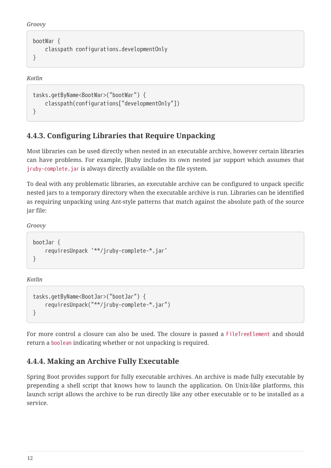```
Groovy
```

```
bootWar {
      classpath configurations.developmentOnly
}
```
#### *Kotlin*

```
tasks.getByName<BootWar>("bootWar") {
      classpath(configurations["developmentOnly"])
}
```
### <span id="page-14-0"></span>**4.4.3. Configuring Libraries that Require Unpacking**

Most libraries can be used directly when nested in an executable archive, however certain libraries can have problems. For example, JRuby includes its own nested jar support which assumes that jruby-complete.jar is always directly available on the file system.

To deal with any problematic libraries, an executable archive can be configured to unpack specific nested jars to a temporary directory when the executable archive is run. Libraries can be identified as requiring unpacking using Ant-style patterns that match against the absolute path of the source jar file:

*Groovy*

```
bootJar {
      requiresUnpack '**/jruby-complete-*.jar'
}
```
*Kotlin*

```
tasks.getByName<BootJar>("bootJar") {
      requiresUnpack("**/jruby-complete-*.jar")
}
```
For more control a closure can also be used. The closure is passed a FileTreeElement and should return a boolean indicating whether or not unpacking is required.

### <span id="page-14-1"></span>**4.4.4. Making an Archive Fully Executable**

Spring Boot provides support for fully executable archives. An archive is made fully executable by prepending a shell script that knows how to launch the application. On Unix-like platforms, this launch script allows the archive to be run directly like any other executable or to be installed as a service.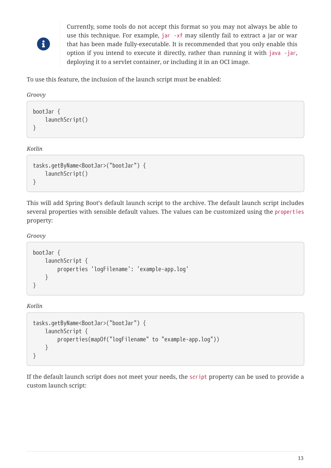

Currently, some tools do not accept this format so you may not always be able to use this technique. For example, jar -xf may silently fail to extract a jar or war that has been made fully-executable. It is recommended that you only enable this option if you intend to execute it directly, rather than running it with java -jar, deploying it to a servlet container, or including it in an OCI image.

To use this feature, the inclusion of the launch script must be enabled:

*Groovy*

```
bootJar {
      launchScript()
}
```
*Kotlin*

```
tasks.getByName<BootJar>("bootJar") {
      launchScript()
}
```
This will add Spring Boot's default launch script to the archive. The default launch script includes several properties with sensible default values. The values can be customized using the properties property:

*Groovy*

```
bootJar {
      launchScript {
          properties 'logFilename': 'example-app.log'
      }
}
```
*Kotlin*

```
tasks.getByName<BootJar>("bootJar") {
      launchScript {
          properties(mapOf("logFilename" to "example-app.log"))
      }
}
```
If the default launch script does not meet your needs, the script property can be used to provide a custom launch script: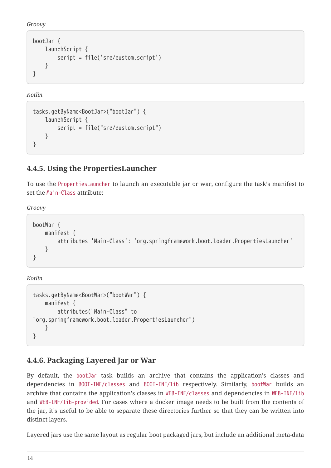*Groovy*

```
bootJar {
      launchScript {
           script = file('src/custom.script')
      }
}
```
*Kotlin*

```
tasks.getByName<BootJar>("bootJar") {
      launchScript {
          script = file("src/custom.script")
      }
}
```
### <span id="page-16-0"></span>**4.4.5. Using the PropertiesLauncher**

To use the PropertiesLauncher to launch an executable jar or war, configure the task's manifest to set the Main-Class attribute:

*Groovy*

```
bootWar {
      manifest {
          attributes 'Main-Class': 'org.springframework.boot.loader.PropertiesLauncher'
      }
}
```
*Kotlin*

```
tasks.getByName<BootWar>("bootWar") {
     manifest {
          attributes("Main-Class" to
"org.springframework.boot.loader.PropertiesLauncher")
      }
}
```
#### <span id="page-16-1"></span>**4.4.6. Packaging Layered Jar or War**

By default, the bootJar task builds an archive that contains the application's classes and dependencies in BOOT-INF/classes and BOOT-INF/lib respectively. Similarly, bootWar builds an archive that contains the application's classes in WEB-INF/classes and dependencies in WEB-INF/lib and WEB-INF/lib-provided. For cases where a docker image needs to be built from the contents of the jar, it's useful to be able to separate these directories further so that they can be written into distinct layers.

Layered jars use the same layout as regular boot packaged jars, but include an additional meta-data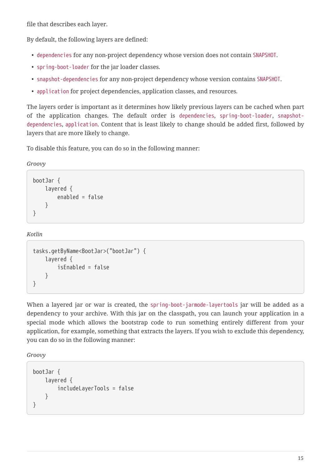file that describes each layer.

By default, the following layers are defined:

- dependencies for any non-project dependency whose version does not contain SNAPSHOT.
- spring-boot-loader for the jar loader classes.
- snapshot-dependencies for any non-project dependency whose version contains SNAPSHOT.
- application for project dependencies, application classes, and resources.

The layers order is important as it determines how likely previous layers can be cached when part of the application changes. The default order is dependencies, spring-boot-loader, snapshotdependencies, application. Content that is least likely to change should be added first, followed by layers that are more likely to change.

To disable this feature, you can do so in the following manner:

*Groovy*

```
bootJar {
      layered {
           enabled = false
      }
}
```
*Kotlin*

```
tasks.getByName<BootJar>("bootJar") {
      layered {
          isEnabled = false
      }
}
```
When a layered jar or war is created, the spring-boot-jarmode-layertools jar will be added as a dependency to your archive. With this jar on the classpath, you can launch your application in a special mode which allows the bootstrap code to run something entirely different from your application, for example, something that extracts the layers. If you wish to exclude this dependency, you can do so in the following manner:

*Groovy*

```
bootJar {
      layered {
           includeLayerTools = false
      }
}
```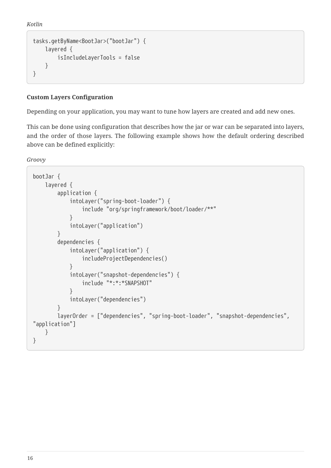*Kotlin*

```
tasks.getByName<BootJar>("bootJar") {
      layered {
          isIncludeLayerTools = false
      }
}
```
#### <span id="page-18-0"></span>**Custom Layers Configuration**

Depending on your application, you may want to tune how layers are created and add new ones.

This can be done using configuration that describes how the jar or war can be separated into layers, and the order of those layers. The following example shows how the default ordering described above can be defined explicitly:

*Groovy*

```
bootJar {
     layered {
          application {
              intoLayer("spring-boot-loader") {
                  include "org/springframework/boot/loader/**"
  }
              intoLayer("application")
          }
          dependencies {
              intoLayer("application") {
                  includeProjectDependencies()
  }
              intoLayer("snapshot-dependencies") {
                  include "*:*:*SNAPSHOT"
  }
              intoLayer("dependencies")
          }
          layerOrder = ["dependencies", "spring-boot-loader", "snapshot-dependencies",
"application"]
     }
}
```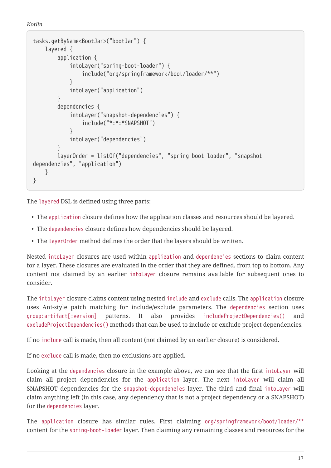```
Kotlin
```

```
tasks.getByName<BootJar>("bootJar") {
      layered {
          application {
              intoLayer("spring-boot-loader") {
                  include("org/springframework/boot/loader/**")
  }
              intoLayer("application")
          }
          dependencies {
              intoLayer("snapshot-dependencies") {
                  include("*:*:*SNAPSHOT")
  }
              intoLayer("dependencies")
          }
          layerOrder = listOf("dependencies", "spring-boot-loader", "snapshot-
dependencies", "application")
      }
}
```
The layered DSL is defined using three parts:

- The application closure defines how the application classes and resources should be layered.
- The dependencies closure defines how dependencies should be layered.
- The layerOrder method defines the order that the layers should be written.

Nested intoLayer closures are used within application and dependencies sections to claim content for a layer. These closures are evaluated in the order that they are defined, from top to bottom. Any content not claimed by an earlier intoLayer closure remains available for subsequent ones to consider.

The intoLayer closure claims content using nested include and exclude calls. The application closure uses Ant-style patch matching for include/exclude parameters. The dependencies section uses group:artifact[:version] patterns. It also provides includeProjectDependencies() and excludeProjectDependencies() methods that can be used to include or exclude project dependencies.

If no include call is made, then all content (not claimed by an earlier closure) is considered.

If no exclude call is made, then no exclusions are applied.

Looking at the dependencies closure in the example above, we can see that the first intoLayer will claim all project dependencies for the application layer. The next intoLayer will claim all SNAPSHOT dependencies for the snapshot-dependencies layer. The third and final intoLayer will claim anything left (in this case, any dependency that is not a project dependency or a SNAPSHOT) for the dependencies layer.

The application closure has similar rules. First claiming org/springframework/boot/loader/\*\* content for the spring-boot-loader layer. Then claiming any remaining classes and resources for the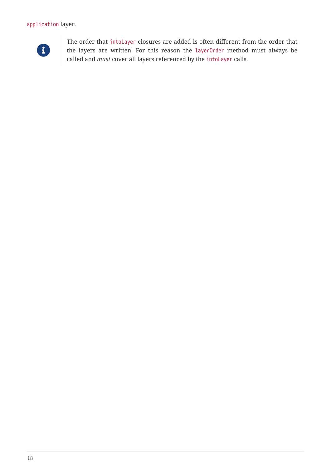#### application layer.



The order that intoLayer closures are added is often different from the order that the layers are written. For this reason the layerOrder method must always be called and *must* cover all layers referenced by the intoLayer calls.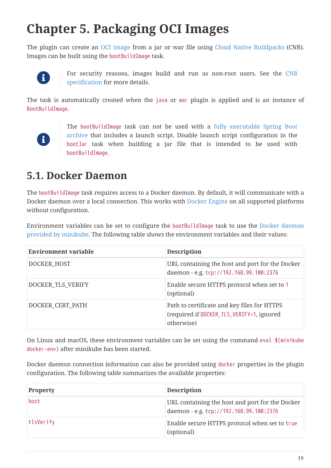# <span id="page-21-0"></span>**Chapter 5. Packaging OCI Images**

The plugin can create an [OCI image](https://github.com/opencontainers/image-spec) from a jar or war file using [Cloud Native Buildpacks](https://buildpacks.io) (CNB). Images can be built using the bootBuildImage task.



For security reasons, images build and run as non-root users. See the [CNB](https://buildpacks.io/docs/reference/spec/platform-api/#users) [specification](https://buildpacks.io/docs/reference/spec/platform-api/#users) for more details.

The task is automatically created when the java or war plugin is applied and is an instance of [BootBuildImage](https://docs.spring.io/spring-boot/docs/2.5.4/gradle-plugin/api/org/springframework/boot/gradle/tasks/bundling/BootBuildImage.html).



The bootBuildImage task can not be used with a [fully executable Spring Boot](#page-14-1) [archive](#page-14-1) that includes a launch script. Disable launch script configuration in the bootJar task when building a jar file that is intended to be used with bootBuildImage.

### <span id="page-21-1"></span>**5.1. Docker Daemon**

The bootBuildImage task requires access to a Docker daemon. By default, it will communicate with a Docker daemon over a local connection. This works with [Docker Engine](https://docs.docker.com/install/) on all supported platforms without configuration.

Environment variables can be set to configure the bootBuildImage task to use the [Docker daemon](https://minikube.sigs.k8s.io/docs/tasks/docker_daemon/) [provided by minikube](https://minikube.sigs.k8s.io/docs/tasks/docker_daemon/). The following table shows the environment variables and their values:

| <b>Environment variable</b> | <b>Description</b>                                                                                     |
|-----------------------------|--------------------------------------------------------------------------------------------------------|
| DOCKER HOST                 | URL containing the host and port for the Docker<br>daemon - e.g. tcp://192.168.99.100:2376             |
| DOCKER_TLS_VERIFY           | Enable secure HTTPS protocol when set to 1<br>(optional)                                               |
| DOCKER_CERT_PATH            | Path to certificate and key files for HTTPS<br>(required if DOCKER_TLS_VERIFY=1, ignored<br>otherwise) |

On Linux and macOS, these environment variables can be set using the command eval \$(minikube docker-env) after minikube has been started.

Docker daemon connection information can also be provided using docker properties in the plugin configuration. The following table summarizes the available properties:

| <b>Property</b> | <b>Description</b>                                                                         |
|-----------------|--------------------------------------------------------------------------------------------|
| host            | URL containing the host and port for the Docker<br>daemon - e.g. tcp://192.168.99.100:2376 |
| tlsVerify       | Enable secure HTTPS protocol when set to true<br>(optional)                                |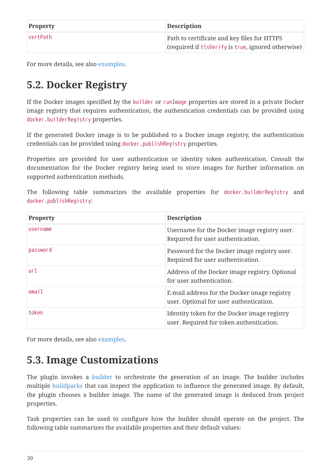| <b>Property</b> | <b>Description</b>                                 |
|-----------------|----------------------------------------------------|
| ∣certPath       | Path to certificate and key files for HTTPS        |
|                 | (required if tlsVerify is true, ignored otherwise) |

For more details, see also [examples](#page-30-1).

## <span id="page-22-0"></span>**5.2. Docker Registry**

If the Docker images specified by the builder or runImage properties are stored in a private Docker image registry that requires authentication, the authentication credentials can be provided using docker.builderRegistry properties.

If the generated Docker image is to be published to a Docker image registry, the authentication credentials can be provided using docker.publishRegistry properties.

Properties are provided for user authentication or identity token authentication. Consult the documentation for the Docker registry being used to store images for further information on supported authentication methods.

The following table summarizes the available properties for docker.builderRegistry and docker.publishRegistry:

| <b>Property</b> | <b>Description</b>                                                                       |
|-----------------|------------------------------------------------------------------------------------------|
| username        | Username for the Docker image registry user.<br>Required for user authentication.        |
| password        | Password for the Docker image registry user.<br>Required for user authentication.        |
| url             | Address of the Docker image registry. Optional<br>for user authentication.               |
| email           | E-mail address for the Docker image registry<br>user. Optional for user authentication.  |
| token           | Identity token for the Docker image registry<br>user. Required for token authentication. |

For more details, see also [examples](#page-30-1).

### <span id="page-22-1"></span>**5.3. Image Customizations**

The plugin invokes a [builder](https://buildpacks.io/docs/concepts/components/builder/) to orchestrate the generation of an image. The builder includes multiple [buildpacks](https://buildpacks.io/docs/concepts/components/buildpack) that can inspect the application to influence the generated image. By default, the plugin chooses a builder image. The name of the generated image is deduced from project properties.

Task properties can be used to configure how the builder should operate on the project. The following table summarizes the available properties and their default values: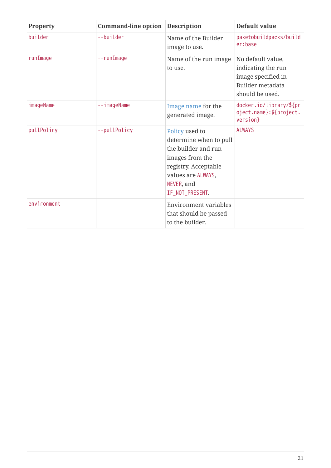| Property    | <b>Command-line option</b> | <b>Description</b>                                                                                                                                                | Default value                                                                                        |
|-------------|----------------------------|-------------------------------------------------------------------------------------------------------------------------------------------------------------------|------------------------------------------------------------------------------------------------------|
| builder     | --builder                  | Name of the Builder<br>image to use.                                                                                                                              | paketobuildpacks/build<br>er:base                                                                    |
| runImage    | --runImage                 | Name of the run image<br>to use.                                                                                                                                  | No default value,<br>indicating the run<br>image specified in<br>Builder metadata<br>should be used. |
| imageName   | --imageName                | Image name for the<br>generated image.                                                                                                                            | docker.io/library/\${pr<br>oject.name}:\${project.<br>version}                                       |
| pullPolicy  | --pullPolicy               | Policy used to<br>determine when to pull<br>the builder and run<br>images from the<br>registry. Acceptable<br>values are ALWAYS,<br>NEVER, and<br>IF_NOT_PRESENT. | <b>ALWAYS</b>                                                                                        |
| environment |                            | Environment variables<br>that should be passed<br>to the builder.                                                                                                 |                                                                                                      |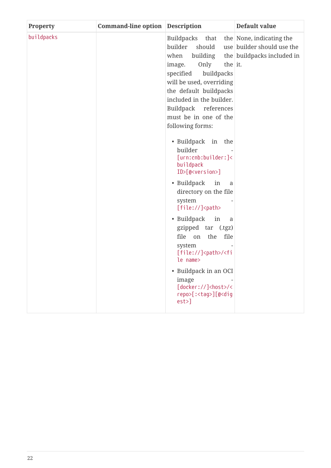| <b>Property</b> | <b>Command-line option</b> | <b>Description</b>                                                                                                                                                                                                                                                                                                                                                                                                                                                                                                                                                                                                                                                                          | Default value                                                                        |
|-----------------|----------------------------|---------------------------------------------------------------------------------------------------------------------------------------------------------------------------------------------------------------------------------------------------------------------------------------------------------------------------------------------------------------------------------------------------------------------------------------------------------------------------------------------------------------------------------------------------------------------------------------------------------------------------------------------------------------------------------------------|--------------------------------------------------------------------------------------|
| buildpacks      |                            | Buildpacks that<br>builder<br>should<br>when<br>building<br>Only<br>the it.<br>image.<br>specified<br>buildpacks<br>will be used, overriding<br>the default buildpacks<br>included in the builder.<br>Buildpack references<br>must be in one of the<br>following forms:<br>· Buildpack in the<br>builder<br>[urn:cnb:builder:]<<br>buildpack<br>ID>[@ <version>]<br/>• Buildpack<br/>in<br/>a<br/>directory on the file<br/>system<br/>[file://]<path><br/>• Buildpack in<br/>a<br/>gzipped tar (.tgz)<br/>file<br/>on the<br/>file<br/>system<br/>[file://]<path>/<fi<br>le name&gt;<br/>• Buildpack in an OCI<br/>image<br/>[docker://]<host>/&lt;</host></fi<br></path></path></version> | the None, indicating the<br>use builder should use the<br>the buildpacks included in |
|                 |                            | repo>[: <tag>][@<dig<br><math>est</math><math>&gt;</math>]</dig<br></tag>                                                                                                                                                                                                                                                                                                                                                                                                                                                                                                                                                                                                                   |                                                                                      |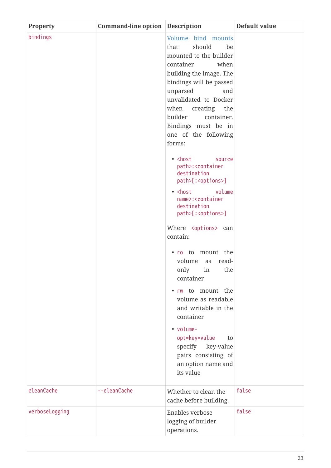| <b>Property</b> | <b>Command-line option Description</b> |                                                                                                                                                                                                                                                                                                                                                                                                                                                                                                                                                                                                                                                                                                                                                                                                                                                                                                | Default value |
|-----------------|----------------------------------------|------------------------------------------------------------------------------------------------------------------------------------------------------------------------------------------------------------------------------------------------------------------------------------------------------------------------------------------------------------------------------------------------------------------------------------------------------------------------------------------------------------------------------------------------------------------------------------------------------------------------------------------------------------------------------------------------------------------------------------------------------------------------------------------------------------------------------------------------------------------------------------------------|---------------|
| bindings        |                                        | Volume bind mounts<br>should<br>that<br>be<br>mounted to the builder<br>when<br>container<br>building the image. The<br>bindings will be passed<br>unparsed<br>and<br>unvalidated to Docker<br>when<br>creating the<br>builder<br>container.<br>Bindings must be in<br>one of the following<br>forms:<br>· <host<br>source<br/>path&gt;:<container<br>destination<br/>path&gt;[:<options>]<br/>· <host<br>volume<br/>name&gt;:<container<br>destination<br/>path&gt;[:<options>]<br/>Where <options> can<br/>contain:<br/>. ro to mount the<br/>volume<br/>as read-<br/>only in the<br/>container<br/>• rw to mount the<br/>volume as readable<br/>and writable in the<br/>container<br/>• volume-<br/>opt=key=value<br/>to<br/>specify key-value<br/>pairs consisting of<br/>an option name and<br/>its value</options></options></container<br></host<br></options></container<br></host<br> |               |
| cleanCache      | --cleanCache                           | Whether to clean the<br>cache before building.                                                                                                                                                                                                                                                                                                                                                                                                                                                                                                                                                                                                                                                                                                                                                                                                                                                 | false         |
| verboseLogging  |                                        | Enables verbose                                                                                                                                                                                                                                                                                                                                                                                                                                                                                                                                                                                                                                                                                                                                                                                                                                                                                | false         |
|                 |                                        | logging of builder<br>operations.                                                                                                                                                                                                                                                                                                                                                                                                                                                                                                                                                                                                                                                                                                                                                                                                                                                              |               |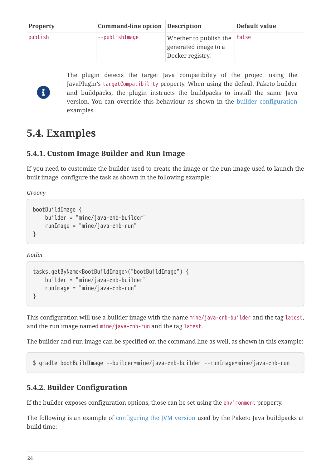| <b>Property</b> | <b>Command-line option Description</b> |                                                                          | Default value |
|-----------------|----------------------------------------|--------------------------------------------------------------------------|---------------|
| publish         | --publishImage                         | Whether to publish the false<br>generated image to a<br>Docker registry. |               |

# $\mathbf{i}$

The plugin detects the target Java compatibility of the project using the JavaPlugin's targetCompatibility property. When using the default Paketo builder and buildpacks, the plugin instructs the buildpacks to install the same Java version. You can override this behaviour as shown in the [builder configuration](#page-26-2) examples.

### <span id="page-26-0"></span>**5.4. Examples**

### <span id="page-26-1"></span>**5.4.1. Custom Image Builder and Run Image**

If you need to customize the builder used to create the image or the run image used to launch the built image, configure the task as shown in the following example:

*Groovy*

```
bootBuildImage {
      builder = "mine/java-cnb-builder"
      runImage = "mine/java-cnb-run"
}
```
*Kotlin*

```
tasks.getByName<BootBuildImage>("bootBuildImage") {
      builder = "mine/java-cnb-builder"
      runImage = "mine/java-cnb-run"
}
```
This configuration will use a builder image with the name mine/java-cnb-builder and the tag latest, and the run image named mine/java-cnb-run and the tag latest.

The builder and run image can be specified on the command line as well, as shown in this example:

\$ gradle bootBuildImage --builder=mine/java-cnb-builder --runImage=mine/java-cnb-run

#### <span id="page-26-2"></span>**5.4.2. Builder Configuration**

If the builder exposes configuration options, those can be set using the environment property.

The following is an example of [configuring the JVM version](https://paketo.io/docs/buildpacks/language-family-buildpacks/java/#configuring-the-jvm-version) used by the Paketo Java buildpacks at build time: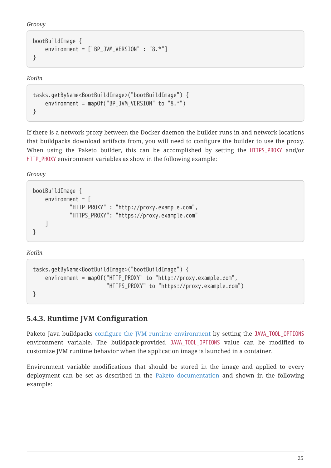*Groovy*

```
bootBuildImage {
    environment = ['BP JVM VERSION" : "8.*"]
}
```
*Kotlin*

```
tasks.getByName<BootBuildImage>("bootBuildImage") {
      environment = mapOf("BP_JVM_VERSION" to "8.*")
}
```
If there is a network proxy between the Docker daemon the builder runs in and network locations that buildpacks download artifacts from, you will need to configure the builder to use the proxy. When using the Paketo builder, this can be accomplished by setting the HTTPS\_PROXY and/or HTTP\_PROXY environment variables as show in the following example:

*Groovy*

```
bootBuildImage {
    environment = <math>[</math>  "HTTP_PROXY" : "http://proxy.example.com",
                "HTTPS_PROXY": "https://proxy.example.com"
      ]
}
```
*Kotlin*

```
tasks.getByName<BootBuildImage>("bootBuildImage") {
    environment = mapOf("HTTP_PROXY" to "http://proxy.example.com",
                          "HTTPS_PROXY" to "https://proxy.example.com")
}
```
### <span id="page-27-0"></span>**5.4.3. Runtime JVM Configuration**

Paketo Java buildpacks [configure the JVM runtime environment](https://paketo.io/docs/buildpacks/language-family-buildpacks/java/#runtime-jvm-configuration) by setting the JAVA\_TOOL\_OPTIONS environment variable. The buildpack-provided JAVA\_TOOL\_OPTIONS value can be modified to customize JVM runtime behavior when the application image is launched in a container.

Environment variable modifications that should be stored in the image and applied to every deployment can be set as described in the [Paketo documentation](https://paketo.io/docs/buildpacks/configuration/#environment-variables) and shown in the following example: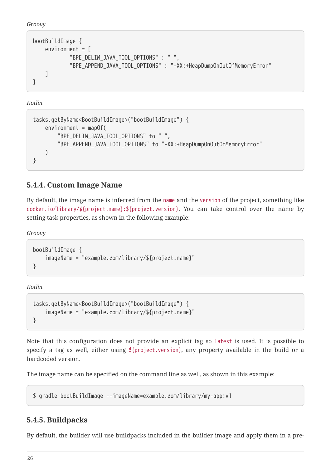```
Groovy
```

```
bootBuildImage {
    environment = <math>\sqrt{ }</math>  "BPE_DELIM_JAVA_TOOL_OPTIONS" : " ",
                "BPE_APPEND_JAVA_TOOL_OPTIONS" : "-XX:+HeapDumpOnOutOfMemoryError"
      ]
}
```
*Kotlin*

```
tasks.getByName<BootBuildImage>("bootBuildImage") {
    enviroment = mapOf(  "BPE_DELIM_JAVA_TOOL_OPTIONS" to " ",
          "BPE_APPEND_JAVA_TOOL_OPTIONS" to "-XX:+HeapDumpOnOutOfMemoryError"
      )
}
```
### <span id="page-28-0"></span>**5.4.4. Custom Image Name**

By default, the image name is inferred from the name and the version of the project, something like docker.io/library/\${project.name}:\${project.version}. You can take control over the name by setting task properties, as shown in the following example:

*Groovy*

```
bootBuildImage {
      imageName = "example.com/library/${project.name}"
}
```
*Kotlin*

```
tasks.getByName<BootBuildImage>("bootBuildImage") {
      imageName = "example.com/library/${project.name}"
}
```
Note that this configuration does not provide an explicit tag so latest is used. It is possible to specify a tag as well, either using \${project.version}, any property available in the build or a hardcoded version.

The image name can be specified on the command line as well, as shown in this example:

\$ gradle bootBuildImage --imageName=example.com/library/my-app:v1

#### <span id="page-28-1"></span>**5.4.5. Buildpacks**

By default, the builder will use buildpacks included in the builder image and apply them in a pre-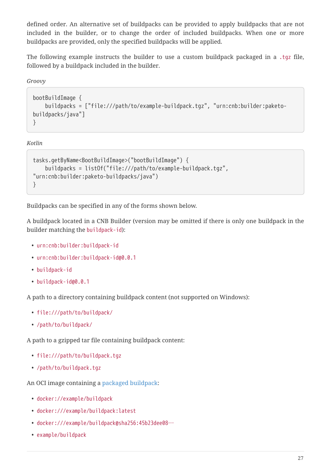defined order. An alternative set of buildpacks can be provided to apply buildpacks that are not included in the builder, or to change the order of included buildpacks. When one or more buildpacks are provided, only the specified buildpacks will be applied.

The following example instructs the builder to use a custom buildpack packaged in a .tgz file, followed by a buildpack included in the builder.

*Groovy*

```
bootBuildImage {
      buildpacks = ["file:///path/to/example-buildpack.tgz", "urn:cnb:builder:paketo-
buildpacks/java"]
}
```
*Kotlin*

```
tasks.getByName<BootBuildImage>("bootBuildImage") {
      buildpacks = listOf("file:///path/to/example-buildpack.tgz",
"urn:cnb:builder:paketo-buildpacks/java")
}
```
Buildpacks can be specified in any of the forms shown below.

A buildpack located in a CNB Builder (version may be omitted if there is only one buildpack in the builder matching the buildpack-id):

- urn:cnb:builder:buildpack-id
- urn:cnb:builder:buildpack-id@0.0.1
- buildpack-id
- buildpack-id@0.0.1

A path to a directory containing buildpack content (not supported on Windows):

- file:///path/to/buildpack/
- /path/to/buildpack/

A path to a gzipped tar file containing buildpack content:

- file:///path/to/buildpack.tgz
- /path/to/buildpack.tgz

An OCI image containing a [packaged buildpack:](https://buildpacks.io/docs/buildpack-author-guide/package-a-buildpack/)

- docker://example/buildpack
- docker:///example/buildpack:latest
- docker:///example/buildpack@sha256:45b23dee08…
- example/buildpack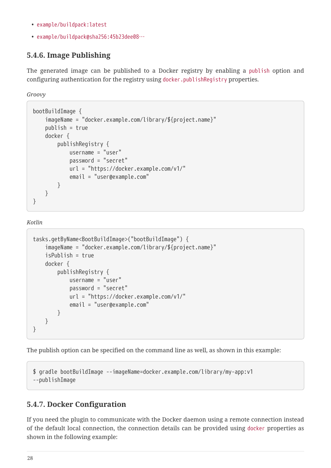- example/buildpack:latest
- example/buildpack@sha256:45b23dee08…

#### <span id="page-30-0"></span>**5.4.6. Image Publishing**

The generated image can be published to a Docker registry by enabling a publish option and configuring authentication for the registry using docker.publishRegistry properties.

*Groovy*

```
bootBuildImage {
      imageName = "docker.example.com/library/${project.name}"
      publish = true
      docker {
          publishRegistry {
               username = "user"
               password = "secret"
               url = "https://docker.example.com/v1/"
               email = "user@example.com"
          }
      }
}
```
*Kotlin*

```
tasks.getByName<BootBuildImage>("bootBuildImage") {
      imageName = "docker.example.com/library/${project.name}"
      isPublish = true
      docker {
          publishRegistry {
               username = "user"
               password = "secret"
               url = "https://docker.example.com/v1/"
               email = "user@example.com"
          }
      }
}
```
The publish option can be specified on the command line as well, as shown in this example:

```
$ gradle bootBuildImage --imageName=docker.example.com/library/my-app:v1
--publishImage
```
#### <span id="page-30-1"></span>**5.4.7. Docker Configuration**

If you need the plugin to communicate with the Docker daemon using a remote connection instead of the default local connection, the connection details can be provided using docker properties as shown in the following example: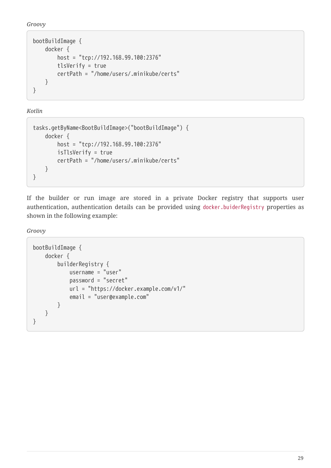*Groovy*

```
bootBuildImage {
      docker {
          host = "tcp://192.168.99.100:2376"
          tlsVerify = true
          certPath = "/home/users/.minikube/certs"
      }
}
```
*Kotlin*

```
tasks.getByName<BootBuildImage>("bootBuildImage") {
      docker {
          host = "tcp://192.168.99.100:2376"
          isTlsVerify = true
          certPath = "/home/users/.minikube/certs"
      }
}
```
If the builder or run image are stored in a private Docker registry that supports user authentication, authentication details can be provided using docker.buiderRegistry properties as shown in the following example:

*Groovy*

```
bootBuildImage {
      docker {
           builderRegistry {
               username = "user"
               password = "secret"
               url = "https://docker.example.com/v1/"
               email = "user@example.com"
          }
      }
}
```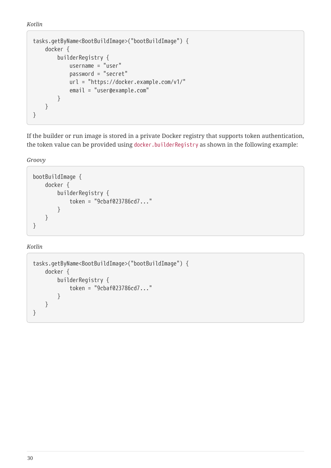*Kotlin*

```
tasks.getByName<BootBuildImage>("bootBuildImage") {
      docker {
          builderRegistry {
               username = "user"
               password = "secret"
               url = "https://docker.example.com/v1/"
               email = "user@example.com"
          }
      }
}
```
If the builder or run image is stored in a private Docker registry that supports token authentication, the token value can be provided using docker.builderRegistry as shown in the following example:

*Groovy*

```
bootBuildImage {
      docker {
           builderRegistry {
                token = "9cbaf023786cd7..."
           }
      }
}
```
*Kotlin*

```
tasks.getByName<BootBuildImage>("bootBuildImage") {
      docker {
          builderRegistry {
               token = "9cbaf023786cd7..."
           }
      }
}
```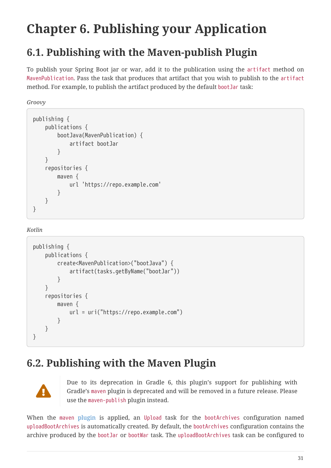# <span id="page-33-0"></span>**Chapter 6. Publishing your Application**

## <span id="page-33-1"></span>**6.1. Publishing with the Maven-publish Plugin**

To publish your Spring Boot jar or war, add it to the publication using the artifact method on MavenPublication. Pass the task that produces that artifact that you wish to publish to the artifact method. For example, to publish the artifact produced by the default bootJar task:

*Groovy*

```
publishing {
      publications {
           bootJava(MavenPublication) {
                artifact bootJar
           }
      }
      repositories {
           maven {
                url 'https://repo.example.com'
           }
      }
}
```
*Kotlin*

```
publishing {
      publications {
           create<MavenPublication>("bootJava") {
               artifact(tasks.getByName("bootJar"))
           }
      }
      repositories {
           maven {
               url = uri("https://repo.example.com")
           }
      }
}
```
### <span id="page-33-2"></span>**6.2. Publishing with the Maven Plugin**



Due to its deprecation in Gradle 6, this plugin's support for publishing with Gradle's maven plugin is deprecated and will be removed in a future release. Please use the maven-publish plugin instead.

When the [maven](https://docs.gradle.org/current/userguide/maven_plugin.html) [plugin](https://docs.gradle.org/current/userguide/maven_plugin.html) is applied, an Upload task for the bootArchives configuration named uploadBootArchives is automatically created. By default, the bootArchives configuration contains the archive produced by the bootJar or bootWar task. The uploadBootArchives task can be configured to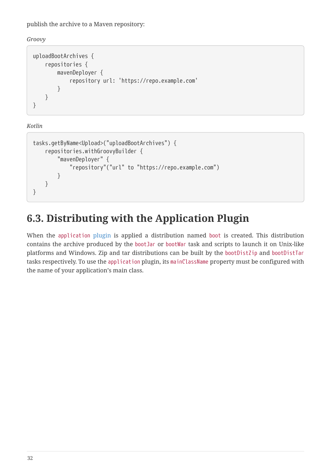publish the archive to a Maven repository:

*Groovy*

```
uploadBootArchives {
      repositories {
           mavenDeployer {
               repository url: 'https://repo.example.com'
           }
      }
}
```
*Kotlin*

```
tasks.getByName<Upload>("uploadBootArchives") {
      repositories.withGroovyBuilder {
          "mavenDeployer" {
               "repository"("url" to "https://repo.example.com")
          }
      }
}
```
## <span id="page-34-0"></span>**6.3. Distributing with the Application Plugin**

When the [application](https://docs.gradle.org/current/userguide/application_plugin.html) [plugin](https://docs.gradle.org/current/userguide/application_plugin.html) is applied a distribution named boot is created. This distribution contains the archive produced by the bootJar or bootWar task and scripts to launch it on Unix-like platforms and Windows. Zip and tar distributions can be built by the bootDistZip and bootDistTar tasks respectively. To use the application plugin, its mainClassName property must be configured with the name of your application's main class.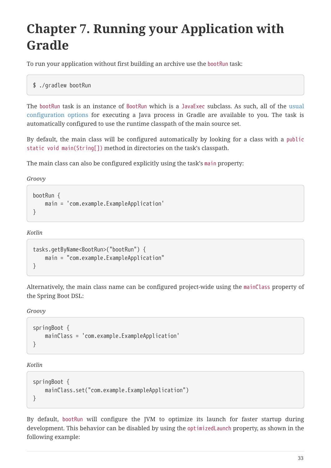# <span id="page-35-0"></span>**Chapter 7. Running your Application with Gradle**

To run your application without first building an archive use the bootRun task:

```
$ ./gradlew bootRun
```
The bootRun task is an instance of [BootRun](https://docs.spring.io/spring-boot/docs/2.5.4/gradle-plugin/api/org/springframework/boot/gradle/tasks/run/BootRun.html) which is a JavaExec subclass. As such, all of the [usual](https://docs.gradle.org/current/dsl/org.gradle.api.tasks.JavaExec.html) [configuration options](https://docs.gradle.org/current/dsl/org.gradle.api.tasks.JavaExec.html) for executing a Java process in Gradle are available to you. The task is automatically configured to use the runtime classpath of the main source set.

By default, the main class will be configured automatically by looking for a class with a public static void main(String[]) method in directories on the task's classpath.

The main class can also be configured explicitly using the task's main property:

*Groovy*

```
bootRun {
     main = 'com.example.ExampleApplication'
}
```
*Kotlin*

```
tasks.getByName<BootRun>("bootRun") {
      main = "com.example.ExampleApplication"
}
```
Alternatively, the main class name can be configured project-wide using the mainClass property of the Spring Boot DSL:

*Groovy*

```
springBoot {
     mainClass = 'com.example.ExampleApplication'
}
```
*Kotlin*

```
springBoot {
      mainClass.set("com.example.ExampleApplication")
}
```
By default, bootRun will configure the JVM to optimize its launch for faster startup during development. This behavior can be disabled by using the optimizedLaunch property, as shown in the following example: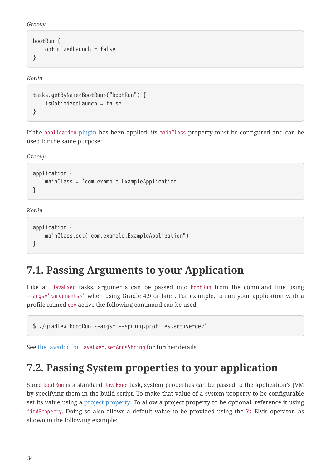*Groovy*

```
bootRun {
      optimizedLaunch = false
}
```
*Kotlin*

```
tasks.getByName<BootRun>("bootRun") {
      isOptimizedLaunch = false
}
```
If the [application](https://docs.gradle.org/current/userguide/application_plugin.html) [plugin](https://docs.gradle.org/current/userguide/application_plugin.html) has been applied, its mainClass property must be configured and can be used for the same purpose:

*Groovy*

```
application {
     mainClass = 'com.example.ExampleApplication'
}
```
*Kotlin*

```
application {
      mainClass.set("com.example.ExampleApplication")
}
```
### <span id="page-36-0"></span>**7.1. Passing Arguments to your Application**

Like all JavaExec tasks, arguments can be passed into bootRun from the command line using --args='<arguments>' when using Gradle 4.9 or later. For example, to run your application with a profile named dev active the following command can be used:

```
$ ./gradlew bootRun --args='--spring.profiles.active=dev'
```
See [the javadoc for](https://docs.gradle.org/current/javadoc/org/gradle/api/tasks/JavaExec.html#setArgsString-java.lang.String-) [JavaExec.setArgsString](https://docs.gradle.org/current/javadoc/org/gradle/api/tasks/JavaExec.html#setArgsString-java.lang.String-) for further details.

### <span id="page-36-1"></span>**7.2. Passing System properties to your application**

Since bootRun is a standard JavaExec task, system properties can be passed to the application's JVM by specifying them in the build script. To make that value of a system property to be configurable set its value using a [project property](https://docs.gradle.org/current/dsl/org.gradle.api.Project.html#N14FE1). To allow a project property to be optional, reference it using findProperty. Doing so also allows a default value to be provided using the ?: Elvis operator, as shown in the following example: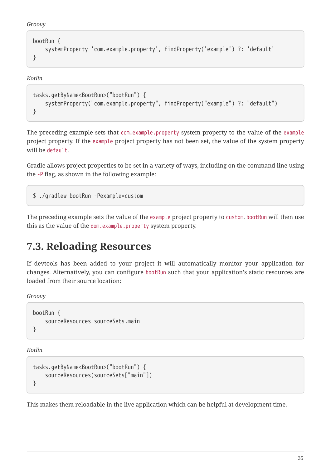```
Groovy
```

```
bootRun {
      systemProperty 'com.example.property', findProperty('example') ?: 'default'
}
```
*Kotlin*

```
tasks.getByName<BootRun>("bootRun") {
      systemProperty("com.example.property", findProperty("example") ?: "default")
}
```
The preceding example sets that com.example.property system property to the value of the example project property. If the example project property has not been set, the value of the system property will be default.

Gradle allows project properties to be set in a variety of ways, including on the command line using the -P flag, as shown in the following example:

\$ ./gradlew bootRun -Pexample=custom

The preceding example sets the value of the example project property to custom. bootRun will then use this as the value of the com.example.property system property.

### <span id="page-37-0"></span>**7.3. Reloading Resources**

If devtools has been added to your project it will automatically monitor your application for changes. Alternatively, you can configure bootRun such that your application's static resources are loaded from their source location:

*Groovy*

```
bootRun {
      sourceResources sourceSets.main
}
```
*Kotlin*

```
tasks.getByName<BootRun>("bootRun") {
      sourceResources(sourceSets["main"])
}
```
This makes them reloadable in the live application which can be helpful at development time.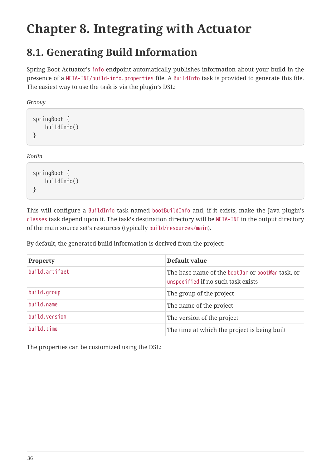# <span id="page-38-0"></span>**Chapter 8. Integrating with Actuator**

### <span id="page-38-1"></span>**8.1. Generating Build Information**

Spring Boot Actuator's info endpoint automatically publishes information about your build in the presence of a META-INF/build-info.properties file. A [BuildInfo](https://docs.spring.io/spring-boot/docs/2.5.4/gradle-plugin/api/org/springframework/boot/gradle/tasks/buildinfo/BuildInfo.html) task is provided to generate this file. The easiest way to use the task is via the plugin's DSL:

*Groovy*

```
springBoot {
      buildInfo()
}
```
*Kotlin*

```
springBoot {
      buildInfo()
}
```
This will configure a [BuildInfo](https://docs.spring.io/spring-boot/docs/2.5.4/gradle-plugin/api/org/springframework/boot/gradle/tasks/buildinfo/BuildInfo.html) task named bootBuildInfo and, if it exists, make the Java plugin's classes task depend upon it. The task's destination directory will be META-INF in the output directory of the main source set's resources (typically build/resources/main).

By default, the generated build information is derived from the project:

| Property       | Default value                                                                            |
|----------------|------------------------------------------------------------------------------------------|
| build.artifact | The base name of the boot Jar or boot War task, or<br>unspecified if no such task exists |
| build.group    | The group of the project                                                                 |
| build.name     | The name of the project                                                                  |
| build.version  | The version of the project                                                               |
| build.time     | The time at which the project is being built                                             |

The properties can be customized using the DSL: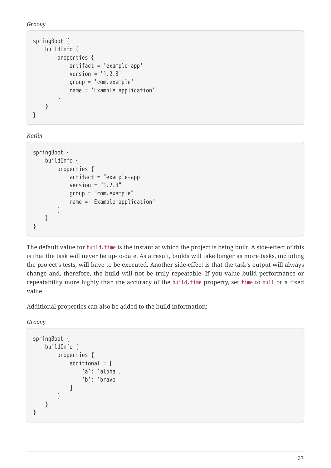*Groovy*

```
springBoot {
      buildInfo {
           properties {
               artifact = 'example-app'
             version = '1.2.3'  group = 'com.example'
               name = 'Example application'
          }
      }
}
```
*Kotlin*

```
springBoot {
      buildInfo {
           properties {
               artifact = "example-app"
             version = "1.2.3"  group = "com.example"
               name = "Example application"
          }
      }
}
```
The default value for build.time is the instant at which the project is being built. A side-effect of this is that the task will never be up-to-date. As a result, builds will take longer as more tasks, including the project's tests, will have to be executed. Another side-effect is that the task's output will always change and, therefore, the build will not be truly repeatable. If you value build performance or repeatability more highly than the accuracy of the build.time property, set time to null or a fixed value.

Additional properties can also be added to the build information:

*Groovy*

```
springBoot {
      buildInfo {
           properties {
             additional = \lceil  'a': 'alpha',
                    'b': 'bravo'
  ]
           }
      }
}
```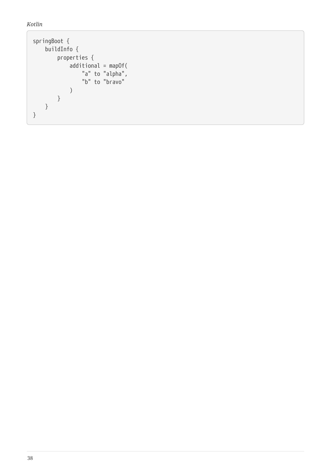*Kotlin*

```
springBoot {
  buildInfo {
         properties {
            additional = mapOf(
  "a" to "alpha",
  "b" to "bravo"
            )
        }
     }
}
```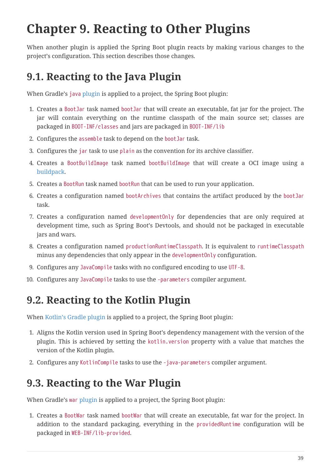# <span id="page-41-0"></span>**Chapter 9. Reacting to Other Plugins**

When another plugin is applied the Spring Boot plugin reacts by making various changes to the project's configuration. This section describes those changes.

### <span id="page-41-1"></span>**9.1. Reacting to the Java Plugin**

When Gradle's [java](https://docs.gradle.org/current/userguide/java_plugin.html) [plugin](https://docs.gradle.org/current/userguide/java_plugin.html) is applied to a project, the Spring Boot plugin:

- 1. Creates a [BootJar](https://docs.spring.io/spring-boot/docs/2.5.4/gradle-plugin/api/org/springframework/boot/gradle/tasks/bundling/BootJar.html) task named bootJar that will create an executable, fat jar for the project. The jar will contain everything on the runtime classpath of the main source set; classes are packaged in BOOT-INF/classes and jars are packaged in BOOT-INF/lib
- 2. Configures the assemble task to depend on the bootJar task.
- 3. Configures the jar task to use plain as the convention for its archive classifier.
- 4. Creates a [BootBuildImage](https://docs.spring.io/spring-boot/docs/2.5.4/gradle-plugin/api/org/springframework/boot/gradle/tasks/bundling/BootBuildImage.html) task named bootBuildImage that will create a OCI image using a [buildpack](https://buildpacks.io).
- 5. Creates a [BootRun](https://docs.spring.io/spring-boot/docs/2.5.4/gradle-plugin/api/org/springframework/boot/gradle/tasks/run/BootRun.html) task named bootRun that can be used to run your application.
- 6. Creates a configuration named bootArchives that contains the artifact produced by the bootJar task.
- 7. Creates a configuration named developmentOnly for dependencies that are only required at development time, such as Spring Boot's Devtools, and should not be packaged in executable jars and wars.
- 8. Creates a configuration named productionRuntimeClasspath. It is equivalent to runtimeClasspath minus any dependencies that only appear in the developmentOnly configuration.
- 9. Configures any JavaCompile tasks with no configured encoding to use UTF-8.
- 10. Configures any JavaCompile tasks to use the -parameters compiler argument.

### <span id="page-41-2"></span>**9.2. Reacting to the Kotlin Plugin**

When [Kotlin's Gradle plugin](https://kotlinlang.org/docs/reference/using-gradle.html) is applied to a project, the Spring Boot plugin:

- 1. Aligns the Kotlin version used in Spring Boot's dependency management with the version of the plugin. This is achieved by setting the kotlin.version property with a value that matches the version of the Kotlin plugin.
- 2. Configures any KotlinCompile tasks to use the -java-parameters compiler argument.

### <span id="page-41-3"></span>**9.3. Reacting to the War Plugin**

When Gradle's [war](https://docs.gradle.org/current/userguide/war_plugin.html) [plugin](https://docs.gradle.org/current/userguide/war_plugin.html) is applied to a project, the Spring Boot plugin:

1. Creates a [BootWar](https://docs.spring.io/spring-boot/docs/2.5.4/gradle-plugin/api/org/springframework/boot/gradle/tasks/bundling/BootWar.html) task named bootWar that will create an executable, fat war for the project. In addition to the standard packaging, everything in the providedRuntime configuration will be packaged in WEB-INF/lib-provided.